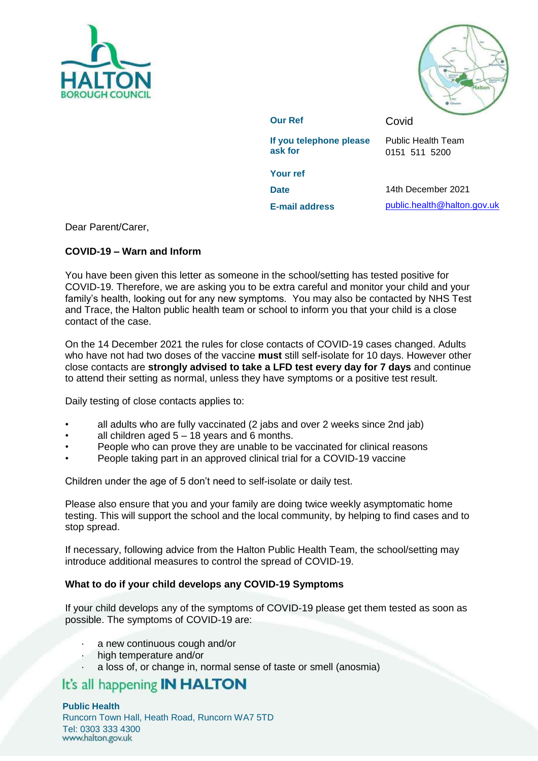



**Our Ref Covid If you telephone please ask for**  Public Health Team 0151 511 5200 **Your ref**

**Date** 14th December 2021

**E-mail address** [public.health@halton.gov.uk](mailto:public.health@halton.gov.uk)

Dear Parent/Carer,

# **COVID-19 – Warn and Inform**

You have been given this letter as someone in the school/setting has tested positive for COVID-19. Therefore, we are asking you to be extra careful and monitor your child and your family's health, looking out for any new symptoms. You may also be contacted by NHS Test and Trace, the Halton public health team or school to inform you that your child is a close contact of the case.

On the 14 December 2021 the rules for close contacts of COVID-19 cases changed. Adults who have not had two doses of the vaccine **must** still self-isolate for 10 days. However other close contacts are **strongly advised to take a LFD test every day for 7 days** and continue to attend their setting as normal, unless they have symptoms or a positive test result.

Daily testing of close contacts applies to:

- all adults who are fully vaccinated (2 jabs and over 2 weeks since 2nd jab)
- all children aged  $5 18$  years and 6 months.
- People who can prove they are unable to be vaccinated for clinical reasons
- People taking part in an approved clinical trial for a COVID-19 vaccine

Children under the age of 5 don't need to self-isolate or daily test.

Please also ensure that you and your family are doing twice weekly asymptomatic home testing. This will support the school and the local community, by helping to find cases and to stop spread.

If necessary, following advice from the Halton Public Health Team, the school/setting may introduce additional measures to control the spread of COVID-19.

# **What to do if your child develops any COVID-19 Symptoms**

If your child develops any of the symptoms of COVID-19 please get them tested as soon as possible. The symptoms of COVID-19 are:

- a new continuous cough and/or
- high temperature and/or
- a loss of, or change in, normal sense of taste or smell (anosmia)

# It's all happening **IN HALTON**

#### **Public Health**

Runcorn Town Hall, Heath Road, Runcorn WA7 5TD Tel: 0303 333 4300<br>www.halton.gov.uk